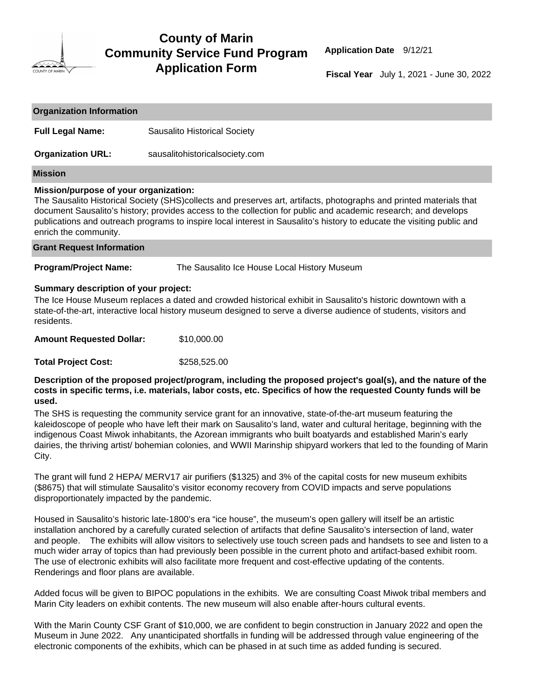

## **County of Marin Community Service Fund Program Application Form**

 **Application Date** 9/12/21

 **Fiscal Year** July 1, 2021 - June 30, 2022

| <b>Organization Information</b>                                                                                                                                                                                                                                                                                                                                                                                                   |                                              |  |  |  |  |
|-----------------------------------------------------------------------------------------------------------------------------------------------------------------------------------------------------------------------------------------------------------------------------------------------------------------------------------------------------------------------------------------------------------------------------------|----------------------------------------------|--|--|--|--|
| <b>Full Legal Name:</b>                                                                                                                                                                                                                                                                                                                                                                                                           | Sausalito Historical Society                 |  |  |  |  |
| <b>Organization URL:</b>                                                                                                                                                                                                                                                                                                                                                                                                          | sausalitohistoricalsociety.com               |  |  |  |  |
| Mission                                                                                                                                                                                                                                                                                                                                                                                                                           |                                              |  |  |  |  |
| Mission/purpose of your organization:<br>The Sausalito Historical Society (SHS)collects and preserves art, artifacts, photographs and printed materials that<br>document Sausalito's history; provides access to the collection for public and academic research; and develops<br>publications and outreach programs to inspire local interest in Sausalito's history to educate the visiting public and<br>enrich the community. |                                              |  |  |  |  |
| <b>Grant Request Information</b>                                                                                                                                                                                                                                                                                                                                                                                                  |                                              |  |  |  |  |
| <b>Program/Project Name:</b>                                                                                                                                                                                                                                                                                                                                                                                                      | The Sausalito Ice House Local History Museum |  |  |  |  |
| Summary description of your project:<br>The Ice House Museum replaces a dated and crowded historical exhibit in Sausalito's historic downtown with a<br>state-of-the-art, interactive local history museum designed to serve a diverse audience of students, visitors and<br>residents.                                                                                                                                           |                                              |  |  |  |  |
| <b>Amount Requested Dollar:</b>                                                                                                                                                                                                                                                                                                                                                                                                   | \$10,000.00                                  |  |  |  |  |
| <b>Total Project Cost:</b>                                                                                                                                                                                                                                                                                                                                                                                                        | \$258,525.00                                 |  |  |  |  |

**Description of the proposed project/program, including the proposed project's goal(s), and the nature of the costs in specific terms, i.e. materials, labor costs, etc. Specifics of how the requested County funds will be used.**

The SHS is requesting the community service grant for an innovative, state-of-the-art museum featuring the kaleidoscope of people who have left their mark on Sausalito's land, water and cultural heritage, beginning with the indigenous Coast Miwok inhabitants, the Azorean immigrants who built boatyards and established Marin's early dairies, the thriving artist/ bohemian colonies, and WWII Marinship shipyard workers that led to the founding of Marin City.

The grant will fund 2 HEPA/ MERV17 air purifiers (\$1325) and 3% of the capital costs for new museum exhibits (\$8675) that will stimulate Sausalito's visitor economy recovery from COVID impacts and serve populations disproportionately impacted by the pandemic.

Housed in Sausalito's historic late-1800's era "ice house", the museum's open gallery will itself be an artistic installation anchored by a carefully curated selection of artifacts that define Sausalito's intersection of land, water and people. The exhibits will allow visitors to selectively use touch screen pads and handsets to see and listen to a much wider array of topics than had previously been possible in the current photo and artifact-based exhibit room. The use of electronic exhibits will also facilitate more frequent and cost-effective updating of the contents. Renderings and floor plans are available.

Added focus will be given to BIPOC populations in the exhibits. We are consulting Coast Miwok tribal members and Marin City leaders on exhibit contents. The new museum will also enable after-hours cultural events.

With the Marin County CSF Grant of \$10,000, we are confident to begin construction in January 2022 and open the Museum in June 2022. Any unanticipated shortfalls in funding will be addressed through value engineering of the electronic components of the exhibits, which can be phased in at such time as added funding is secured.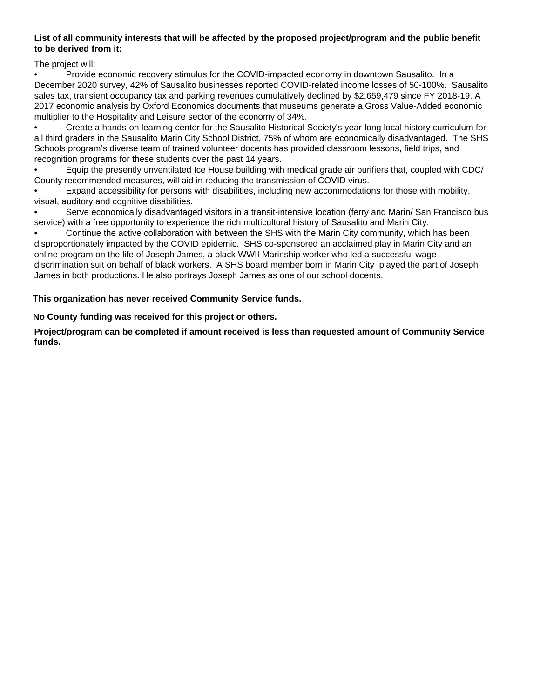## **List of all community interests that will be affected by the proposed project/program and the public benefit to be derived from it:**

The project will:

• Provide economic recovery stimulus for the COVID-impacted economy in downtown Sausalito. In a December 2020 survey, 42% of Sausalito businesses reported COVID-related income losses of 50-100%. Sausalito sales tax, transient occupancy tax and parking revenues cumulatively declined by \$2,659,479 since FY 2018-19. A 2017 economic analysis by Oxford Economics documents that museums generate a Gross Value-Added economic multiplier to the Hospitality and Leisure sector of the economy of 34%.

• Create a hands-on learning center for the Sausalito Historical Society's year-long local history curriculum for all third graders in the Sausalito Marin City School District, 75% of whom are economically disadvantaged. The SHS Schools program's diverse team of trained volunteer docents has provided classroom lessons, field trips, and recognition programs for these students over the past 14 years.

• Equip the presently unventilated Ice House building with medical grade air purifiers that, coupled with CDC/ County recommended measures, will aid in reducing the transmission of COVID virus.

• Expand accessibility for persons with disabilities, including new accommodations for those with mobility, visual, auditory and cognitive disabilities.

• Serve economically disadvantaged visitors in a transit-intensive location (ferry and Marin/ San Francisco bus service) with a free opportunity to experience the rich multicultural history of Sausalito and Marin City.

• Continue the active collaboration with between the SHS with the Marin City community, which has been disproportionately impacted by the COVID epidemic. SHS co-sponsored an acclaimed play in Marin City and an online program on the life of Joseph James, a black WWII Marinship worker who led a successful wage discrimination suit on behalf of black workers. A SHS board member born in Marin City played the part of Joseph James in both productions. He also portrays Joseph James as one of our school docents.

**This organization has never received Community Service funds.**

## **No County funding was received for this project or others.**

**Project/program can be completed if amount received is less than requested amount of Community Service funds.**